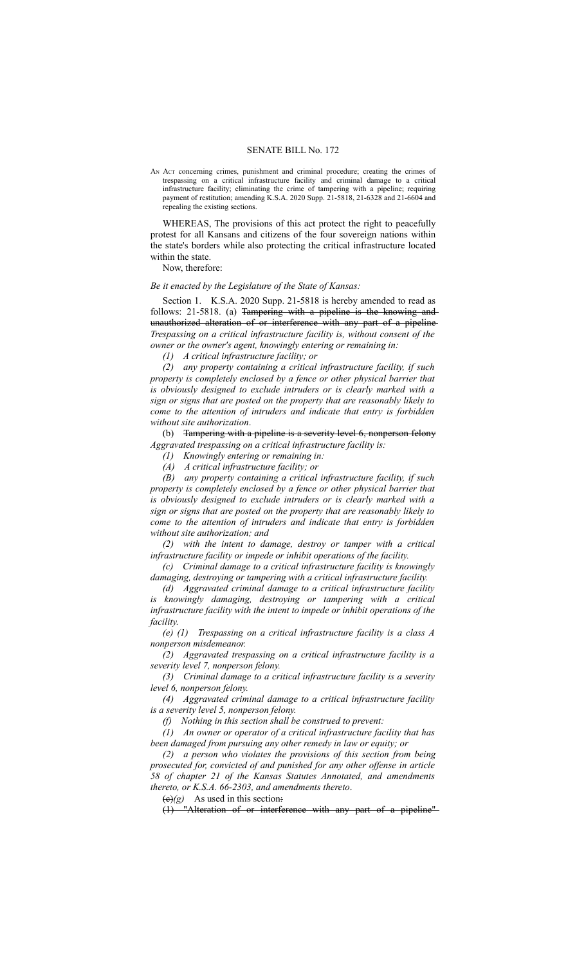## SENATE BILL No. 172

AN ACT concerning crimes, punishment and criminal procedure; creating the crimes of trespassing on a critical infrastructure facility and criminal damage to a critical infrastructure facility; eliminating the crime of tampering with a pipeline; requiring payment of restitution; amending K.S.A. 2020 Supp. 21-5818, 21-6328 and 21-6604 and repealing the existing sections.

WHEREAS, The provisions of this act protect the right to peacefully protest for all Kansans and citizens of the four sovereign nations within the state's borders while also protecting the critical infrastructure located within the state.

Now, therefore:

## *Be it enacted by the Legislature of the State of Kansas:*

Section 1. K.S.A. 2020 Supp. 21-5818 is hereby amended to read as follows: 21-5818. (a) Tampering with a pipeline is the knowing andunauthorized alteration of or interference with any part of a pipeline *Trespassing on a critical infrastructure facility is, without consent of the owner or the owner's agent, knowingly entering or remaining in:*

*(1) A critical infrastructure facility; or*

*(2) any property containing a critical infrastructure facility, if such property is completely enclosed by a fence or other physical barrier that is obviously designed to exclude intruders or is clearly marked with a sign or signs that are posted on the property that are reasonably likely to come to the attention of intruders and indicate that entry is forbidden without site authorization*.

(b) Tampering with a pipeline is a severity level 6, nonperson felony *Aggravated trespassing on a critical infrastructure facility is:*

*(1) Knowingly entering or remaining in:*

*(A) A critical infrastructure facility; or*

*(B) any property containing a critical infrastructure facility, if such property is completely enclosed by a fence or other physical barrier that is obviously designed to exclude intruders or is clearly marked with a sign or signs that are posted on the property that are reasonably likely to come to the attention of intruders and indicate that entry is forbidden without site authorization; and*

*(2) with the intent to damage, destroy or tamper with a critical infrastructure facility or impede or inhibit operations of the facility.*

*(c) Criminal damage to a critical infrastructure facility is knowingly damaging, destroying or tampering with a critical infrastructure facility.*

*(d) Aggravated criminal damage to a critical infrastructure facility is knowingly damaging, destroying or tampering with a critical infrastructure facility with the intent to impede or inhibit operations of the facility.*

*(e) (1) Trespassing on a critical infrastructure facility is a class A nonperson misdemeanor.*

*(2) Aggravated trespassing on a critical infrastructure facility is a severity level 7, nonperson felony.*

*(3) Criminal damage to a critical infrastructure facility is a severity level 6, nonperson felony.*

*(4) Aggravated criminal damage to a critical infrastructure facility is a severity level 5, nonperson felony.*

*(f) Nothing in this section shall be construed to prevent:*

*(1) An owner or operator of a critical infrastructure facility that has been damaged from pursuing any other remedy in law or equity; or*

*(2) a person who violates the provisions of this section from being prosecuted for, convicted of and punished for any other offense in article 58 of chapter 21 of the Kansas Statutes Annotated, and amendments thereto, or K.S.A. 66-2303, and amendments thereto*.

 $(e)(g)$  As used in this section:

(1) "Alteration of or interference with any part of a pipeline"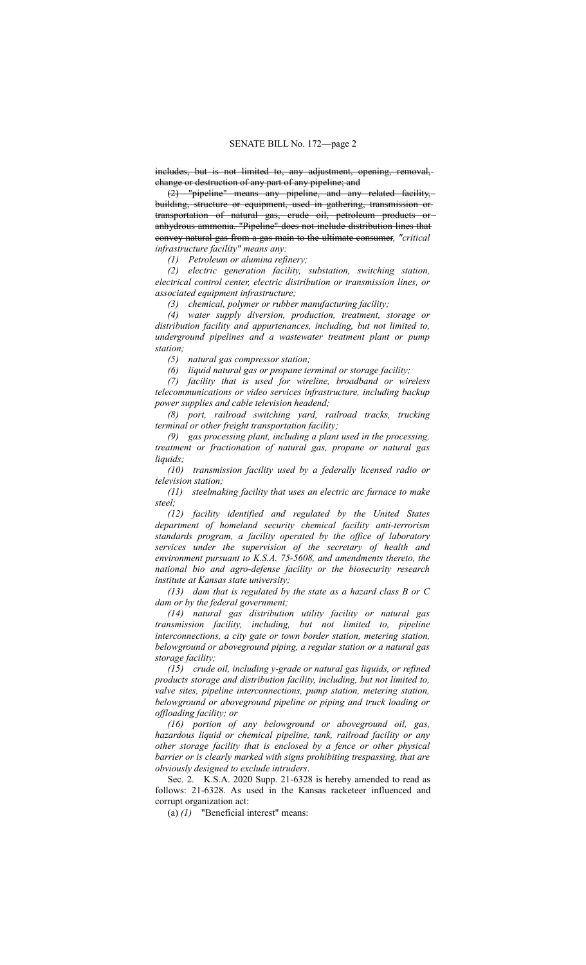includes, but is not limited to, any adjustment, opening, removal, change or destruction of any part of any pipeline; and

(2) "pipeline" means any pipeline, and any related facility, building, structure or equipment, used in gathering, transmission or transportation of natural gas, crude oil, petroleum products or anhydrous ammonia. "Pipeline" does not include distribution lines that convey natural gas from a gas main to the ultimate consumer*, "critical infrastructure facility" means any:*

*(1) Petroleum or alumina refinery;*

*(2) electric generation facility, substation, switching station, electrical control center, electric distribution or transmission lines, or associated equipment infrastructure;*

*(3) chemical, polymer or rubber manufacturing facility;*

*(4) water supply diversion, production, treatment, storage or distribution facility and appurtenances, including, but not limited to, underground pipelines and a wastewater treatment plant or pump station;*

*(5) natural gas compressor station;*

*(6) liquid natural gas or propane terminal or storage facility;*

*(7) facility that is used for wireline, broadband or wireless telecommunications or video services infrastructure, including backup power supplies and cable television headend;*

*(8) port, railroad switching yard, railroad tracks, trucking terminal or other freight transportation facility;*

*(9) gas processing plant, including a plant used in the processing, treatment or fractionation of natural gas, propane or natural gas liquids;*

*(10) transmission facility used by a federally licensed radio or television station;*

*(11) steelmaking facility that uses an electric arc furnace to make steel;*

*(12) facility identified and regulated by the United States department of homeland security chemical facility anti-terrorism standards program, a facility operated by the office of laboratory services under the supervision of the secretary of health and environment pursuant to K.S.A. 75-5608, and amendments thereto, the national bio and agro-defense facility or the biosecurity research institute at Kansas state university;*

*(13) dam that is regulated by the state as a hazard class B or C dam or by the federal government;*

*(14) natural gas distribution utility facility or natural gas transmission facility, including, but not limited to, pipeline interconnections, a city gate or town border station, metering station, belowground or aboveground piping, a regular station or a natural gas storage facility;*

*(15) crude oil, including y-grade or natural gas liquids, or refined products storage and distribution facility, including, but not limited to, valve sites, pipeline interconnections, pump station, metering station, belowground or aboveground pipeline or piping and truck loading or offloading facility; or*

*(16) portion of any belowground or aboveground oil, gas, hazardous liquid or chemical pipeline, tank, railroad facility or any other storage facility that is enclosed by a fence or other physical barrier or is clearly marked with signs prohibiting trespassing, that are obviously designed to exclude intruders*.

Sec. 2. K.S.A. 2020 Supp. 21-6328 is hereby amended to read as follows: 21-6328. As used in the Kansas racketeer influenced and corrupt organization act:

(a) *(1)* "Beneficial interest" means: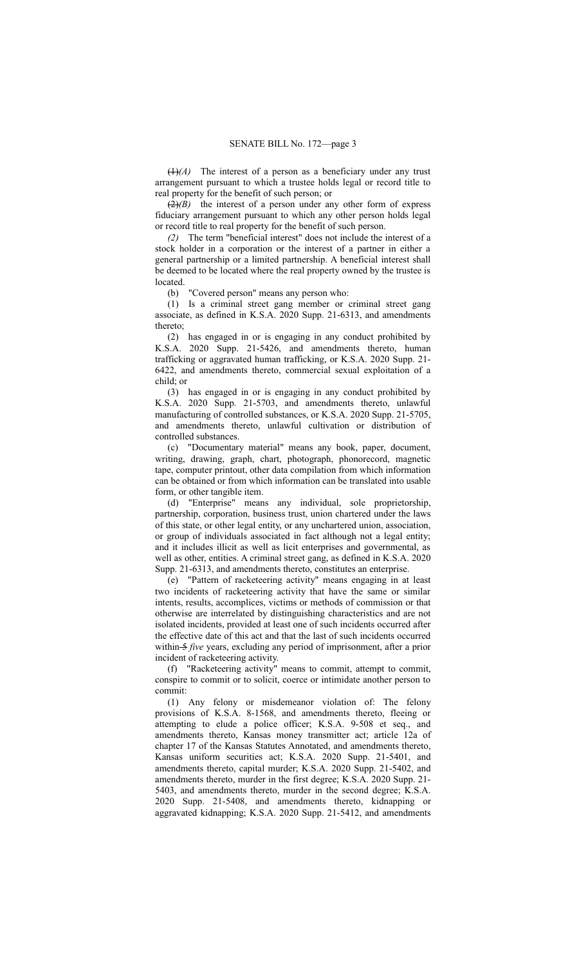(1)*(A)* The interest of a person as a beneficiary under any trust arrangement pursuant to which a trustee holds legal or record title to real property for the benefit of such person; or

(2)*(B)* the interest of a person under any other form of express fiduciary arrangement pursuant to which any other person holds legal or record title to real property for the benefit of such person.

*(2)* The term "beneficial interest" does not include the interest of a stock holder in a corporation or the interest of a partner in either a general partnership or a limited partnership. A beneficial interest shall be deemed to be located where the real property owned by the trustee is located.

(b) "Covered person" means any person who:

(1) Is a criminal street gang member or criminal street gang associate, as defined in K.S.A. 2020 Supp. 21-6313, and amendments thereto;

(2) has engaged in or is engaging in any conduct prohibited by K.S.A. 2020 Supp. 21-5426, and amendments thereto, human trafficking or aggravated human trafficking, or K.S.A. 2020 Supp. 21- 6422, and amendments thereto, commercial sexual exploitation of a child; or

(3) has engaged in or is engaging in any conduct prohibited by K.S.A. 2020 Supp. 21-5703, and amendments thereto, unlawful manufacturing of controlled substances, or K.S.A. 2020 Supp. 21-5705, and amendments thereto, unlawful cultivation or distribution of controlled substances.

(c) "Documentary material" means any book, paper, document, writing, drawing, graph, chart, photograph, phonorecord, magnetic tape, computer printout, other data compilation from which information can be obtained or from which information can be translated into usable form, or other tangible item.

(d) "Enterprise" means any individual, sole proprietorship, partnership, corporation, business trust, union chartered under the laws of this state, or other legal entity, or any unchartered union, association, or group of individuals associated in fact although not a legal entity; and it includes illicit as well as licit enterprises and governmental, as well as other, entities. A criminal street gang, as defined in K.S.A. 2020 Supp. 21-6313, and amendments thereto, constitutes an enterprise.

(e) "Pattern of racketeering activity" means engaging in at least two incidents of racketeering activity that have the same or similar intents, results, accomplices, victims or methods of commission or that otherwise are interrelated by distinguishing characteristics and are not isolated incidents, provided at least one of such incidents occurred after the effective date of this act and that the last of such incidents occurred within 5 *five* years, excluding any period of imprisonment, after a prior incident of racketeering activity.

(f) "Racketeering activity" means to commit, attempt to commit, conspire to commit or to solicit, coerce or intimidate another person to commit:

(1) Any felony or misdemeanor violation of: The felony provisions of K.S.A. 8-1568, and amendments thereto, fleeing or attempting to elude a police officer; K.S.A. 9-508 et seq., and amendments thereto, Kansas money transmitter act; article 12a of chapter 17 of the Kansas Statutes Annotated, and amendments thereto, Kansas uniform securities act; K.S.A. 2020 Supp. 21-5401, and amendments thereto, capital murder; K.S.A. 2020 Supp. 21-5402, and amendments thereto, murder in the first degree; K.S.A. 2020 Supp. 21- 5403, and amendments thereto, murder in the second degree; K.S.A. 2020 Supp. 21-5408, and amendments thereto, kidnapping or aggravated kidnapping; K.S.A. 2020 Supp. 21-5412, and amendments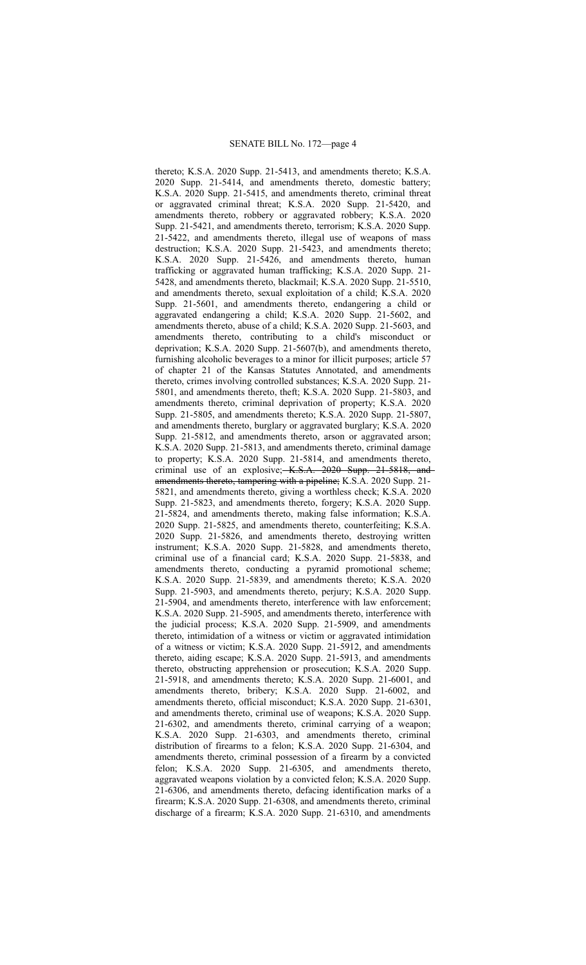thereto; K.S.A. 2020 Supp. 21-5413, and amendments thereto; K.S.A. 2020 Supp. 21-5414, and amendments thereto, domestic battery; K.S.A. 2020 Supp. 21-5415, and amendments thereto, criminal threat or aggravated criminal threat; K.S.A. 2020 Supp. 21-5420, and amendments thereto, robbery or aggravated robbery; K.S.A. 2020 Supp. 21-5421, and amendments thereto, terrorism; K.S.A. 2020 Supp. 21-5422, and amendments thereto, illegal use of weapons of mass destruction; K.S.A. 2020 Supp. 21-5423, and amendments thereto; K.S.A. 2020 Supp. 21-5426, and amendments thereto, human trafficking or aggravated human trafficking; K.S.A. 2020 Supp. 21- 5428, and amendments thereto, blackmail; K.S.A. 2020 Supp. 21-5510, and amendments thereto, sexual exploitation of a child; K.S.A. 2020 Supp. 21-5601, and amendments thereto, endangering a child or aggravated endangering a child; K.S.A. 2020 Supp. 21-5602, and amendments thereto, abuse of a child; K.S.A. 2020 Supp. 21-5603, and amendments thereto, contributing to a child's misconduct or deprivation; K.S.A. 2020 Supp. 21-5607(b), and amendments thereto, furnishing alcoholic beverages to a minor for illicit purposes; article 57 of chapter 21 of the Kansas Statutes Annotated, and amendments thereto, crimes involving controlled substances; K.S.A. 2020 Supp. 21- 5801, and amendments thereto, theft; K.S.A. 2020 Supp. 21-5803, and amendments thereto, criminal deprivation of property; K.S.A. 2020 Supp. 21-5805, and amendments thereto; K.S.A. 2020 Supp. 21-5807, and amendments thereto, burglary or aggravated burglary; K.S.A. 2020 Supp. 21-5812, and amendments thereto, arson or aggravated arson; K.S.A. 2020 Supp. 21-5813, and amendments thereto, criminal damage to property; K.S.A. 2020 Supp. 21-5814, and amendments thereto, criminal use of an explosive; K.S.A. 2020 Supp. 21-5818, and amendments thereto, tampering with a pipeline; K.S.A. 2020 Supp. 21- 5821, and amendments thereto, giving a worthless check; K.S.A. 2020 Supp. 21-5823, and amendments thereto, forgery; K.S.A. 2020 Supp. 21-5824, and amendments thereto, making false information; K.S.A. 2020 Supp. 21-5825, and amendments thereto, counterfeiting; K.S.A. 2020 Supp. 21-5826, and amendments thereto, destroying written instrument; K.S.A. 2020 Supp. 21-5828, and amendments thereto, criminal use of a financial card; K.S.A. 2020 Supp. 21-5838, and amendments thereto, conducting a pyramid promotional scheme; K.S.A. 2020 Supp. 21-5839, and amendments thereto; K.S.A. 2020 Supp. 21-5903, and amendments thereto, perjury; K.S.A. 2020 Supp. 21-5904, and amendments thereto, interference with law enforcement; K.S.A. 2020 Supp. 21-5905, and amendments thereto, interference with the judicial process; K.S.A. 2020 Supp. 21-5909, and amendments thereto, intimidation of a witness or victim or aggravated intimidation of a witness or victim; K.S.A. 2020 Supp. 21-5912, and amendments thereto, aiding escape; K.S.A. 2020 Supp. 21-5913, and amendments thereto, obstructing apprehension or prosecution; K.S.A. 2020 Supp. 21-5918, and amendments thereto; K.S.A. 2020 Supp. 21-6001, and amendments thereto, bribery; K.S.A. 2020 Supp. 21-6002, and amendments thereto, official misconduct; K.S.A. 2020 Supp. 21-6301, and amendments thereto, criminal use of weapons; K.S.A. 2020 Supp. 21-6302, and amendments thereto, criminal carrying of a weapon; K.S.A. 2020 Supp. 21-6303, and amendments thereto, criminal distribution of firearms to a felon; K.S.A. 2020 Supp. 21-6304, and amendments thereto, criminal possession of a firearm by a convicted felon; K.S.A. 2020 Supp. 21-6305, and amendments thereto, aggravated weapons violation by a convicted felon; K.S.A. 2020 Supp. 21-6306, and amendments thereto, defacing identification marks of a firearm; K.S.A. 2020 Supp. 21-6308, and amendments thereto, criminal discharge of a firearm; K.S.A. 2020 Supp. 21-6310, and amendments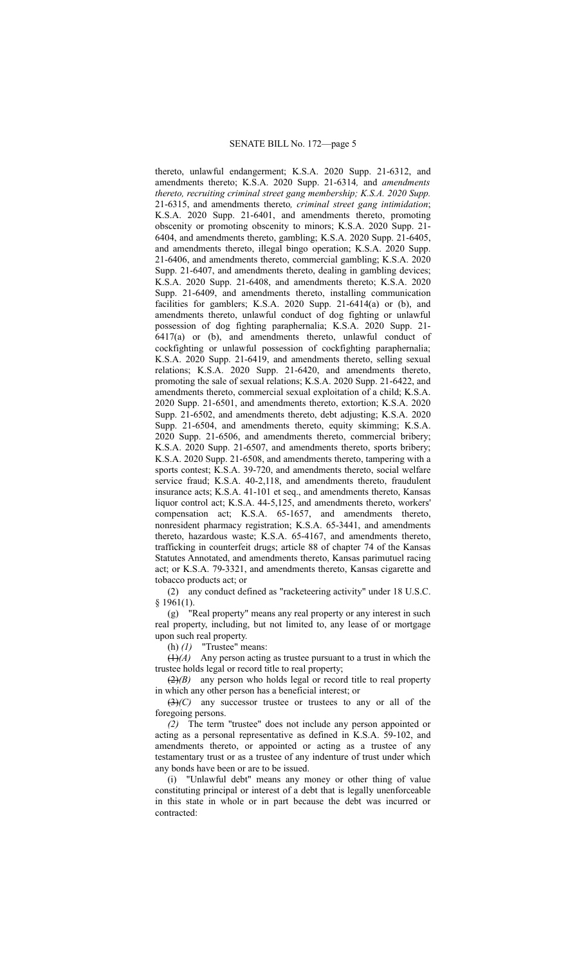thereto, unlawful endangerment; K.S.A. 2020 Supp. 21-6312, and amendments thereto; K.S.A. 2020 Supp. 21-6314*,* and *amendments thereto, recruiting criminal street gang membership; K.S.A. 2020 Supp.* 21-6315, and amendments thereto*, criminal street gang intimidation*; K.S.A. 2020 Supp. 21-6401, and amendments thereto, promoting obscenity or promoting obscenity to minors; K.S.A. 2020 Supp. 21- 6404, and amendments thereto, gambling; K.S.A. 2020 Supp. 21-6405, and amendments thereto, illegal bingo operation; K.S.A. 2020 Supp. 21-6406, and amendments thereto, commercial gambling; K.S.A. 2020 Supp. 21-6407, and amendments thereto, dealing in gambling devices; K.S.A. 2020 Supp. 21-6408, and amendments thereto; K.S.A. 2020 Supp. 21-6409, and amendments thereto, installing communication facilities for gamblers; K.S.A. 2020 Supp. 21-6414(a) or (b), and amendments thereto, unlawful conduct of dog fighting or unlawful possession of dog fighting paraphernalia; K.S.A. 2020 Supp. 21- 6417(a) or (b), and amendments thereto, unlawful conduct of cockfighting or unlawful possession of cockfighting paraphernalia; K.S.A. 2020 Supp. 21-6419, and amendments thereto, selling sexual relations; K.S.A. 2020 Supp. 21-6420, and amendments thereto, promoting the sale of sexual relations; K.S.A. 2020 Supp. 21-6422, and amendments thereto, commercial sexual exploitation of a child; K.S.A. 2020 Supp. 21-6501, and amendments thereto, extortion; K.S.A. 2020 Supp. 21-6502, and amendments thereto, debt adjusting; K.S.A. 2020 Supp. 21-6504, and amendments thereto, equity skimming; K.S.A. 2020 Supp. 21-6506, and amendments thereto, commercial bribery; K.S.A. 2020 Supp. 21-6507, and amendments thereto, sports bribery; K.S.A. 2020 Supp. 21-6508, and amendments thereto, tampering with a sports contest; K.S.A. 39-720, and amendments thereto, social welfare service fraud; K.S.A. 40-2,118, and amendments thereto, fraudulent insurance acts; K.S.A. 41-101 et seq., and amendments thereto, Kansas liquor control act; K.S.A. 44-5,125, and amendments thereto, workers' compensation act; K.S.A. 65-1657, and amendments thereto, nonresident pharmacy registration; K.S.A. 65-3441, and amendments thereto, hazardous waste; K.S.A. 65-4167, and amendments thereto, trafficking in counterfeit drugs; article 88 of chapter 74 of the Kansas Statutes Annotated, and amendments thereto, Kansas parimutuel racing act; or K.S.A. 79-3321, and amendments thereto, Kansas cigarette and tobacco products act; or

(2) any conduct defined as "racketeering activity" under 18 U.S.C.  $$1961(1).$ 

(g) "Real property" means any real property or any interest in such real property, including, but not limited to, any lease of or mortgage upon such real property.

(h) *(1)* "Trustee" means:

 $(1)$ <sup>(A)</sup> Any person acting as trustee pursuant to a trust in which the trustee holds legal or record title to real property;

(2)*(B)* any person who holds legal or record title to real property in which any other person has a beneficial interest; or

(3)*(C)* any successor trustee or trustees to any or all of the foregoing persons.

*(2)* The term "trustee" does not include any person appointed or acting as a personal representative as defined in K.S.A. 59-102, and amendments thereto, or appointed or acting as a trustee of any testamentary trust or as a trustee of any indenture of trust under which any bonds have been or are to be issued.

(i) "Unlawful debt" means any money or other thing of value constituting principal or interest of a debt that is legally unenforceable in this state in whole or in part because the debt was incurred or contracted: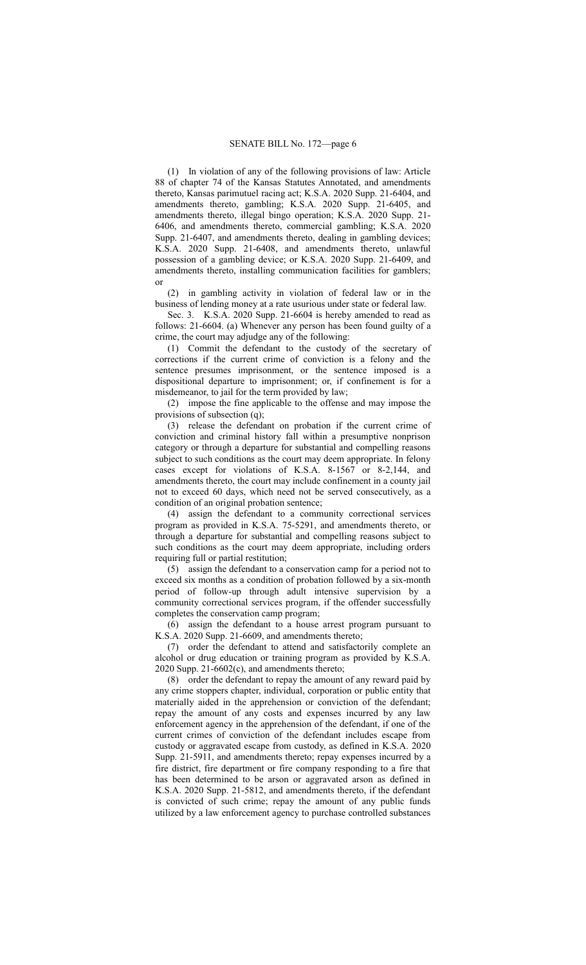(1) In violation of any of the following provisions of law: Article 88 of chapter 74 of the Kansas Statutes Annotated, and amendments thereto, Kansas parimutuel racing act; K.S.A. 2020 Supp. 21-6404, and amendments thereto, gambling; K.S.A. 2020 Supp. 21-6405, and amendments thereto, illegal bingo operation; K.S.A. 2020 Supp. 21- 6406, and amendments thereto, commercial gambling; K.S.A. 2020 Supp. 21-6407, and amendments thereto, dealing in gambling devices; K.S.A. 2020 Supp. 21-6408, and amendments thereto, unlawful possession of a gambling device; or K.S.A. 2020 Supp. 21-6409, and amendments thereto, installing communication facilities for gamblers; or

(2) in gambling activity in violation of federal law or in the business of lending money at a rate usurious under state or federal law.

Sec. 3. K.S.A. 2020 Supp. 21-6604 is hereby amended to read as follows: 21-6604. (a) Whenever any person has been found guilty of a crime, the court may adjudge any of the following:

(1) Commit the defendant to the custody of the secretary of corrections if the current crime of conviction is a felony and the sentence presumes imprisonment, or the sentence imposed is a dispositional departure to imprisonment; or, if confinement is for a misdemeanor, to jail for the term provided by law;

(2) impose the fine applicable to the offense and may impose the provisions of subsection (q);

(3) release the defendant on probation if the current crime of conviction and criminal history fall within a presumptive nonprison category or through a departure for substantial and compelling reasons subject to such conditions as the court may deem appropriate. In felony cases except for violations of K.S.A. 8-1567 or 8-2,144, and amendments thereto, the court may include confinement in a county jail not to exceed 60 days, which need not be served consecutively, as a condition of an original probation sentence;

(4) assign the defendant to a community correctional services program as provided in K.S.A. 75-5291, and amendments thereto, or through a departure for substantial and compelling reasons subject to such conditions as the court may deem appropriate, including orders requiring full or partial restitution;

(5) assign the defendant to a conservation camp for a period not to exceed six months as a condition of probation followed by a six-month period of follow-up through adult intensive supervision by a community correctional services program, if the offender successfully completes the conservation camp program;

(6) assign the defendant to a house arrest program pursuant to K.S.A. 2020 Supp. 21-6609, and amendments thereto;

(7) order the defendant to attend and satisfactorily complete an alcohol or drug education or training program as provided by K.S.A. 2020 Supp. 21-6602(c), and amendments thereto;

(8) order the defendant to repay the amount of any reward paid by any crime stoppers chapter, individual, corporation or public entity that materially aided in the apprehension or conviction of the defendant; repay the amount of any costs and expenses incurred by any law enforcement agency in the apprehension of the defendant, if one of the current crimes of conviction of the defendant includes escape from custody or aggravated escape from custody, as defined in K.S.A. 2020 Supp. 21-5911, and amendments thereto; repay expenses incurred by a fire district, fire department or fire company responding to a fire that has been determined to be arson or aggravated arson as defined in K.S.A. 2020 Supp. 21-5812, and amendments thereto, if the defendant is convicted of such crime; repay the amount of any public funds utilized by a law enforcement agency to purchase controlled substances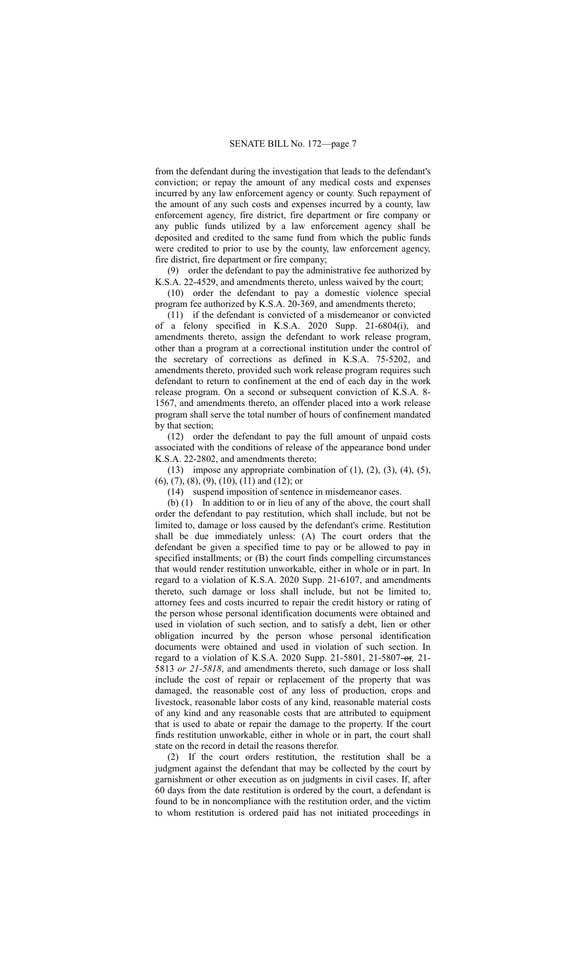from the defendant during the investigation that leads to the defendant's conviction; or repay the amount of any medical costs and expenses incurred by any law enforcement agency or county. Such repayment of the amount of any such costs and expenses incurred by a county, law enforcement agency, fire district, fire department or fire company or any public funds utilized by a law enforcement agency shall be deposited and credited to the same fund from which the public funds were credited to prior to use by the county, law enforcement agency, fire district, fire department or fire company;

(9) order the defendant to pay the administrative fee authorized by K.S.A. 22-4529, and amendments thereto, unless waived by the court;

(10) order the defendant to pay a domestic violence special program fee authorized by K.S.A. 20-369, and amendments thereto;

(11) if the defendant is convicted of a misdemeanor or convicted of a felony specified in K.S.A. 2020 Supp. 21-6804(i), and amendments thereto, assign the defendant to work release program, other than a program at a correctional institution under the control of the secretary of corrections as defined in K.S.A. 75-5202, and amendments thereto, provided such work release program requires such defendant to return to confinement at the end of each day in the work release program. On a second or subsequent conviction of K.S.A. 8- 1567, and amendments thereto, an offender placed into a work release program shall serve the total number of hours of confinement mandated by that section;

(12) order the defendant to pay the full amount of unpaid costs associated with the conditions of release of the appearance bond under K.S.A. 22-2802, and amendments thereto;

(13) impose any appropriate combination of  $(1)$ ,  $(2)$ ,  $(3)$ ,  $(4)$ ,  $(5)$ , (6), (7), (8), (9), (10), (11) and (12); or

(14) suspend imposition of sentence in misdemeanor cases.

(b) (1) In addition to or in lieu of any of the above, the court shall order the defendant to pay restitution, which shall include, but not be limited to, damage or loss caused by the defendant's crime. Restitution shall be due immediately unless: (A) The court orders that the defendant be given a specified time to pay or be allowed to pay in specified installments; or (B) the court finds compelling circumstances that would render restitution unworkable, either in whole or in part. In regard to a violation of K.S.A. 2020 Supp. 21-6107, and amendments thereto, such damage or loss shall include, but not be limited to, attorney fees and costs incurred to repair the credit history or rating of the person whose personal identification documents were obtained and used in violation of such section, and to satisfy a debt, lien or other obligation incurred by the person whose personal identification documents were obtained and used in violation of such section. In regard to a violation of K.S.A. 2020 Supp. 21-5801, 21-5807 or*,* 21- 5813 *or 21-5818*, and amendments thereto, such damage or loss shall include the cost of repair or replacement of the property that was damaged, the reasonable cost of any loss of production, crops and livestock, reasonable labor costs of any kind, reasonable material costs of any kind and any reasonable costs that are attributed to equipment that is used to abate or repair the damage to the property. If the court finds restitution unworkable, either in whole or in part, the court shall state on the record in detail the reasons therefor.

(2) If the court orders restitution, the restitution shall be a judgment against the defendant that may be collected by the court by garnishment or other execution as on judgments in civil cases. If, after 60 days from the date restitution is ordered by the court, a defendant is found to be in noncompliance with the restitution order, and the victim to whom restitution is ordered paid has not initiated proceedings in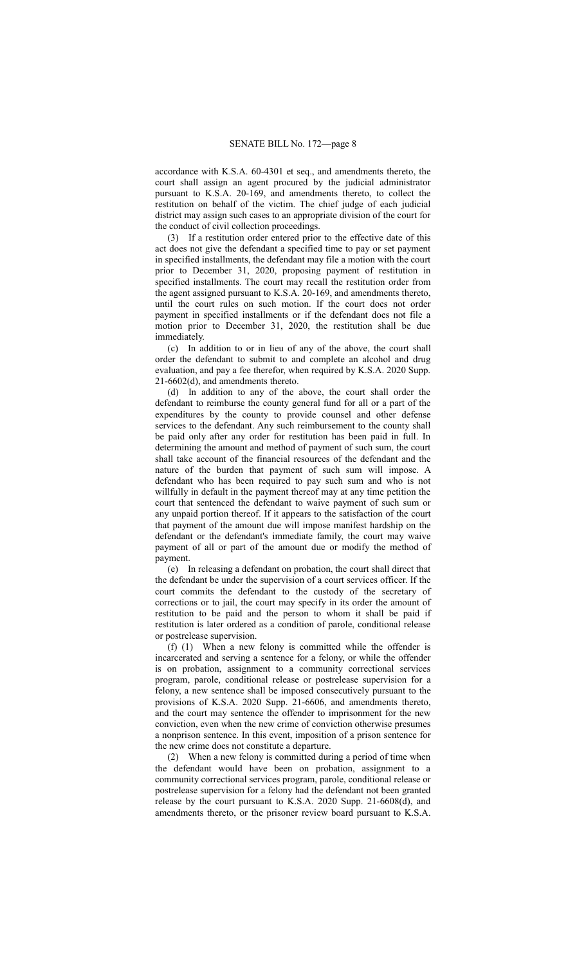accordance with K.S.A. 60-4301 et seq., and amendments thereto, the court shall assign an agent procured by the judicial administrator pursuant to K.S.A. 20-169, and amendments thereto, to collect the restitution on behalf of the victim. The chief judge of each judicial district may assign such cases to an appropriate division of the court for the conduct of civil collection proceedings.

(3) If a restitution order entered prior to the effective date of this act does not give the defendant a specified time to pay or set payment in specified installments, the defendant may file a motion with the court prior to December 31, 2020, proposing payment of restitution in specified installments. The court may recall the restitution order from the agent assigned pursuant to K.S.A. 20-169, and amendments thereto, until the court rules on such motion. If the court does not order payment in specified installments or if the defendant does not file a motion prior to December 31, 2020, the restitution shall be due immediately.

(c) In addition to or in lieu of any of the above, the court shall order the defendant to submit to and complete an alcohol and drug evaluation, and pay a fee therefor, when required by K.S.A. 2020 Supp. 21-6602(d), and amendments thereto.

(d) In addition to any of the above, the court shall order the defendant to reimburse the county general fund for all or a part of the expenditures by the county to provide counsel and other defense services to the defendant. Any such reimbursement to the county shall be paid only after any order for restitution has been paid in full. In determining the amount and method of payment of such sum, the court shall take account of the financial resources of the defendant and the nature of the burden that payment of such sum will impose. A defendant who has been required to pay such sum and who is not willfully in default in the payment thereof may at any time petition the court that sentenced the defendant to waive payment of such sum or any unpaid portion thereof. If it appears to the satisfaction of the court that payment of the amount due will impose manifest hardship on the defendant or the defendant's immediate family, the court may waive payment of all or part of the amount due or modify the method of payment.

(e) In releasing a defendant on probation, the court shall direct that the defendant be under the supervision of a court services officer. If the court commits the defendant to the custody of the secretary of corrections or to jail, the court may specify in its order the amount of restitution to be paid and the person to whom it shall be paid if restitution is later ordered as a condition of parole, conditional release or postrelease supervision.

(f) (1) When a new felony is committed while the offender is incarcerated and serving a sentence for a felony, or while the offender is on probation, assignment to a community correctional services program, parole, conditional release or postrelease supervision for a felony, a new sentence shall be imposed consecutively pursuant to the provisions of K.S.A. 2020 Supp. 21-6606, and amendments thereto, and the court may sentence the offender to imprisonment for the new conviction, even when the new crime of conviction otherwise presumes a nonprison sentence. In this event, imposition of a prison sentence for the new crime does not constitute a departure.

(2) When a new felony is committed during a period of time when the defendant would have been on probation, assignment to a community correctional services program, parole, conditional release or postrelease supervision for a felony had the defendant not been granted release by the court pursuant to K.S.A. 2020 Supp. 21-6608(d), and amendments thereto, or the prisoner review board pursuant to K.S.A.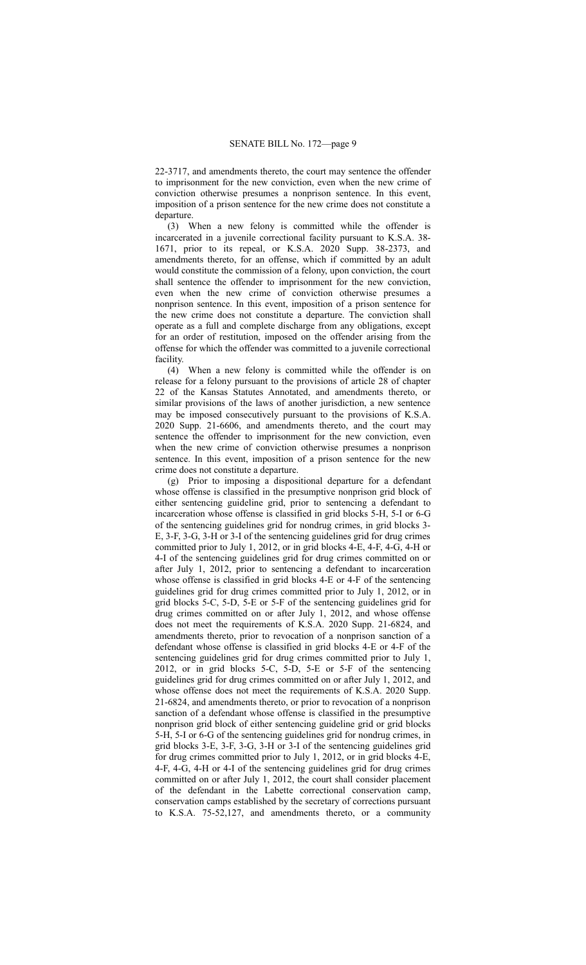22-3717, and amendments thereto, the court may sentence the offender to imprisonment for the new conviction, even when the new crime of conviction otherwise presumes a nonprison sentence. In this event, imposition of a prison sentence for the new crime does not constitute a departure.

(3) When a new felony is committed while the offender is incarcerated in a juvenile correctional facility pursuant to K.S.A. 38- 1671, prior to its repeal, or K.S.A. 2020 Supp. 38-2373, and amendments thereto, for an offense, which if committed by an adult would constitute the commission of a felony, upon conviction, the court shall sentence the offender to imprisonment for the new conviction, even when the new crime of conviction otherwise presumes a nonprison sentence. In this event, imposition of a prison sentence for the new crime does not constitute a departure. The conviction shall operate as a full and complete discharge from any obligations, except for an order of restitution, imposed on the offender arising from the offense for which the offender was committed to a juvenile correctional facility.

(4) When a new felony is committed while the offender is on release for a felony pursuant to the provisions of article 28 of chapter 22 of the Kansas Statutes Annotated, and amendments thereto, or similar provisions of the laws of another jurisdiction, a new sentence may be imposed consecutively pursuant to the provisions of K.S.A. 2020 Supp. 21-6606, and amendments thereto, and the court may sentence the offender to imprisonment for the new conviction, even when the new crime of conviction otherwise presumes a nonprison sentence. In this event, imposition of a prison sentence for the new crime does not constitute a departure.

(g) Prior to imposing a dispositional departure for a defendant whose offense is classified in the presumptive nonprison grid block of either sentencing guideline grid, prior to sentencing a defendant to incarceration whose offense is classified in grid blocks 5-H, 5-I or 6-G of the sentencing guidelines grid for nondrug crimes, in grid blocks 3- E, 3-F, 3-G, 3-H or 3-I of the sentencing guidelines grid for drug crimes committed prior to July 1, 2012, or in grid blocks 4-E, 4-F, 4-G, 4-H or 4-I of the sentencing guidelines grid for drug crimes committed on or after July 1, 2012, prior to sentencing a defendant to incarceration whose offense is classified in grid blocks 4-E or 4-F of the sentencing guidelines grid for drug crimes committed prior to July 1, 2012, or in grid blocks 5-C, 5-D, 5-E or 5-F of the sentencing guidelines grid for drug crimes committed on or after July 1, 2012, and whose offense does not meet the requirements of K.S.A. 2020 Supp. 21-6824, and amendments thereto, prior to revocation of a nonprison sanction of a defendant whose offense is classified in grid blocks 4-E or 4-F of the sentencing guidelines grid for drug crimes committed prior to July 1, 2012, or in grid blocks 5-C, 5-D, 5-E or 5-F of the sentencing guidelines grid for drug crimes committed on or after July 1, 2012, and whose offense does not meet the requirements of K.S.A. 2020 Supp. 21-6824, and amendments thereto, or prior to revocation of a nonprison sanction of a defendant whose offense is classified in the presumptive nonprison grid block of either sentencing guideline grid or grid blocks 5-H, 5-I or 6-G of the sentencing guidelines grid for nondrug crimes, in grid blocks 3-E, 3-F, 3-G, 3-H or 3-I of the sentencing guidelines grid for drug crimes committed prior to July 1, 2012, or in grid blocks 4-E, 4-F, 4-G, 4-H or 4-I of the sentencing guidelines grid for drug crimes committed on or after July 1, 2012, the court shall consider placement of the defendant in the Labette correctional conservation camp, conservation camps established by the secretary of corrections pursuant to K.S.A. 75-52,127, and amendments thereto, or a community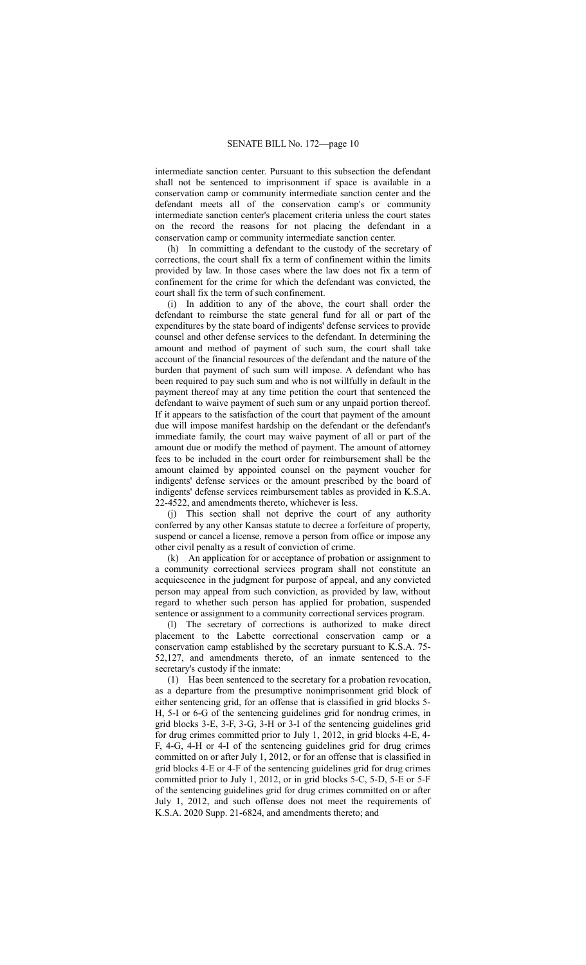intermediate sanction center. Pursuant to this subsection the defendant shall not be sentenced to imprisonment if space is available in a conservation camp or community intermediate sanction center and the defendant meets all of the conservation camp's or community intermediate sanction center's placement criteria unless the court states on the record the reasons for not placing the defendant in a conservation camp or community intermediate sanction center.

(h) In committing a defendant to the custody of the secretary of corrections, the court shall fix a term of confinement within the limits provided by law. In those cases where the law does not fix a term of confinement for the crime for which the defendant was convicted, the court shall fix the term of such confinement.

(i) In addition to any of the above, the court shall order the defendant to reimburse the state general fund for all or part of the expenditures by the state board of indigents' defense services to provide counsel and other defense services to the defendant. In determining the amount and method of payment of such sum, the court shall take account of the financial resources of the defendant and the nature of the burden that payment of such sum will impose. A defendant who has been required to pay such sum and who is not willfully in default in the payment thereof may at any time petition the court that sentenced the defendant to waive payment of such sum or any unpaid portion thereof. If it appears to the satisfaction of the court that payment of the amount due will impose manifest hardship on the defendant or the defendant's immediate family, the court may waive payment of all or part of the amount due or modify the method of payment. The amount of attorney fees to be included in the court order for reimbursement shall be the amount claimed by appointed counsel on the payment voucher for indigents' defense services or the amount prescribed by the board of indigents' defense services reimbursement tables as provided in K.S.A. 22-4522, and amendments thereto, whichever is less.

(j) This section shall not deprive the court of any authority conferred by any other Kansas statute to decree a forfeiture of property, suspend or cancel a license, remove a person from office or impose any other civil penalty as a result of conviction of crime.

(k) An application for or acceptance of probation or assignment to a community correctional services program shall not constitute an acquiescence in the judgment for purpose of appeal, and any convicted person may appeal from such conviction, as provided by law, without regard to whether such person has applied for probation, suspended sentence or assignment to a community correctional services program.

(l) The secretary of corrections is authorized to make direct placement to the Labette correctional conservation camp or a conservation camp established by the secretary pursuant to K.S.A. 75- 52,127, and amendments thereto, of an inmate sentenced to the secretary's custody if the inmate:

(1) Has been sentenced to the secretary for a probation revocation, as a departure from the presumptive nonimprisonment grid block of either sentencing grid, for an offense that is classified in grid blocks 5- H, 5-I or 6-G of the sentencing guidelines grid for nondrug crimes, in grid blocks 3-E, 3-F, 3-G, 3-H or 3-I of the sentencing guidelines grid for drug crimes committed prior to July 1, 2012, in grid blocks 4-E, 4- F, 4-G, 4-H or 4-I of the sentencing guidelines grid for drug crimes committed on or after July 1, 2012, or for an offense that is classified in grid blocks 4-E or 4-F of the sentencing guidelines grid for drug crimes committed prior to July 1, 2012, or in grid blocks 5-C, 5-D, 5-E or 5-F of the sentencing guidelines grid for drug crimes committed on or after July 1, 2012, and such offense does not meet the requirements of K.S.A. 2020 Supp. 21-6824, and amendments thereto; and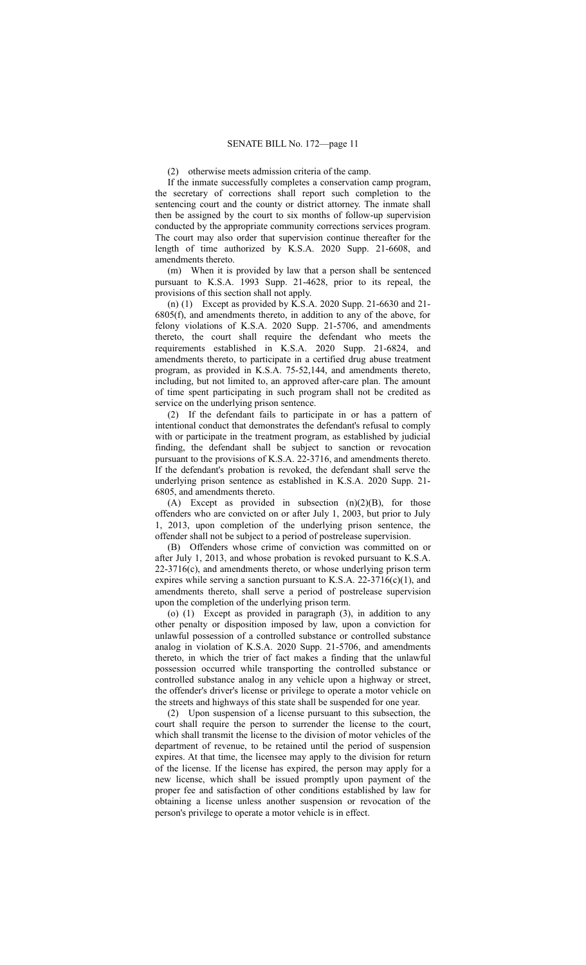(2) otherwise meets admission criteria of the camp.

If the inmate successfully completes a conservation camp program, the secretary of corrections shall report such completion to the sentencing court and the county or district attorney. The inmate shall then be assigned by the court to six months of follow-up supervision conducted by the appropriate community corrections services program. The court may also order that supervision continue thereafter for the length of time authorized by K.S.A. 2020 Supp. 21-6608, and amendments thereto.

(m) When it is provided by law that a person shall be sentenced pursuant to K.S.A. 1993 Supp. 21-4628, prior to its repeal, the provisions of this section shall not apply.

(n) (1) Except as provided by K.S.A. 2020 Supp. 21-6630 and 21- 6805(f), and amendments thereto, in addition to any of the above, for felony violations of K.S.A. 2020 Supp. 21-5706, and amendments thereto, the court shall require the defendant who meets the requirements established in K.S.A. 2020 Supp. 21-6824, and amendments thereto, to participate in a certified drug abuse treatment program, as provided in K.S.A. 75-52,144, and amendments thereto, including, but not limited to, an approved after-care plan. The amount of time spent participating in such program shall not be credited as service on the underlying prison sentence.

(2) If the defendant fails to participate in or has a pattern of intentional conduct that demonstrates the defendant's refusal to comply with or participate in the treatment program, as established by judicial finding, the defendant shall be subject to sanction or revocation pursuant to the provisions of K.S.A. 22-3716, and amendments thereto. If the defendant's probation is revoked, the defendant shall serve the underlying prison sentence as established in K.S.A. 2020 Supp. 21- 6805, and amendments thereto.

(A) Except as provided in subsection (n)(2)(B), for those offenders who are convicted on or after July 1, 2003, but prior to July 1, 2013, upon completion of the underlying prison sentence, the offender shall not be subject to a period of postrelease supervision.

(B) Offenders whose crime of conviction was committed on or after July 1, 2013, and whose probation is revoked pursuant to K.S.A. 22-3716(c), and amendments thereto, or whose underlying prison term expires while serving a sanction pursuant to K.S.A.  $22-3716(c)(1)$ , and amendments thereto, shall serve a period of postrelease supervision upon the completion of the underlying prison term.

(o) (1) Except as provided in paragraph (3), in addition to any other penalty or disposition imposed by law, upon a conviction for unlawful possession of a controlled substance or controlled substance analog in violation of K.S.A. 2020 Supp. 21-5706, and amendments thereto, in which the trier of fact makes a finding that the unlawful possession occurred while transporting the controlled substance or controlled substance analog in any vehicle upon a highway or street, the offender's driver's license or privilege to operate a motor vehicle on the streets and highways of this state shall be suspended for one year.

(2) Upon suspension of a license pursuant to this subsection, the court shall require the person to surrender the license to the court, which shall transmit the license to the division of motor vehicles of the department of revenue, to be retained until the period of suspension expires. At that time, the licensee may apply to the division for return of the license. If the license has expired, the person may apply for a new license, which shall be issued promptly upon payment of the proper fee and satisfaction of other conditions established by law for obtaining a license unless another suspension or revocation of the person's privilege to operate a motor vehicle is in effect.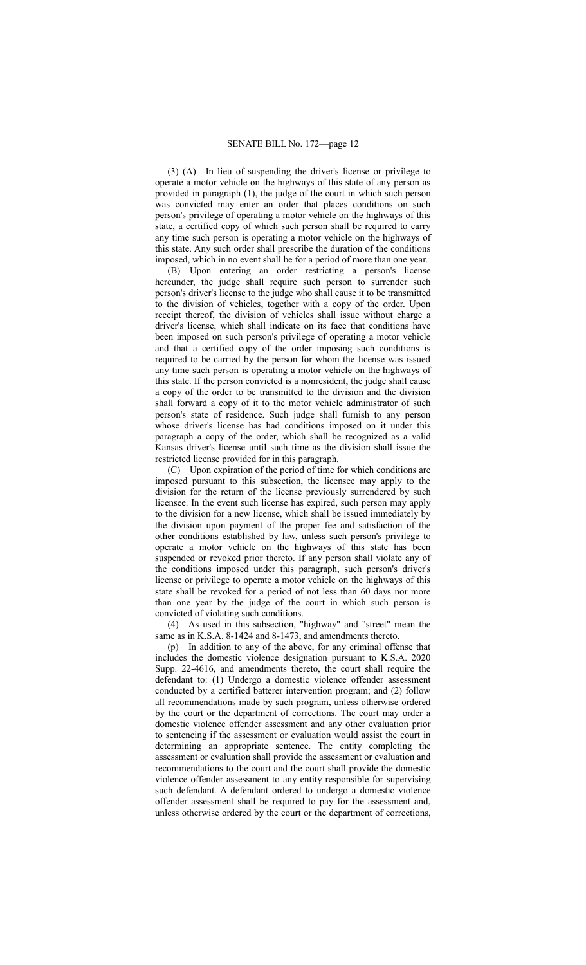(3) (A) In lieu of suspending the driver's license or privilege to operate a motor vehicle on the highways of this state of any person as provided in paragraph (1), the judge of the court in which such person was convicted may enter an order that places conditions on such person's privilege of operating a motor vehicle on the highways of this state, a certified copy of which such person shall be required to carry any time such person is operating a motor vehicle on the highways of this state. Any such order shall prescribe the duration of the conditions imposed, which in no event shall be for a period of more than one year.

(B) Upon entering an order restricting a person's license hereunder, the judge shall require such person to surrender such person's driver's license to the judge who shall cause it to be transmitted to the division of vehicles, together with a copy of the order. Upon receipt thereof, the division of vehicles shall issue without charge a driver's license, which shall indicate on its face that conditions have been imposed on such person's privilege of operating a motor vehicle and that a certified copy of the order imposing such conditions is required to be carried by the person for whom the license was issued any time such person is operating a motor vehicle on the highways of this state. If the person convicted is a nonresident, the judge shall cause a copy of the order to be transmitted to the division and the division shall forward a copy of it to the motor vehicle administrator of such person's state of residence. Such judge shall furnish to any person whose driver's license has had conditions imposed on it under this paragraph a copy of the order, which shall be recognized as a valid Kansas driver's license until such time as the division shall issue the restricted license provided for in this paragraph.

(C) Upon expiration of the period of time for which conditions are imposed pursuant to this subsection, the licensee may apply to the division for the return of the license previously surrendered by such licensee. In the event such license has expired, such person may apply to the division for a new license, which shall be issued immediately by the division upon payment of the proper fee and satisfaction of the other conditions established by law, unless such person's privilege to operate a motor vehicle on the highways of this state has been suspended or revoked prior thereto. If any person shall violate any of the conditions imposed under this paragraph, such person's driver's license or privilege to operate a motor vehicle on the highways of this state shall be revoked for a period of not less than 60 days nor more than one year by the judge of the court in which such person is convicted of violating such conditions.

(4) As used in this subsection, "highway" and "street" mean the same as in K.S.A. 8-1424 and 8-1473, and amendments thereto.

(p) In addition to any of the above, for any criminal offense that includes the domestic violence designation pursuant to K.S.A. 2020 Supp. 22-4616, and amendments thereto, the court shall require the defendant to: (1) Undergo a domestic violence offender assessment conducted by a certified batterer intervention program; and (2) follow all recommendations made by such program, unless otherwise ordered by the court or the department of corrections. The court may order a domestic violence offender assessment and any other evaluation prior to sentencing if the assessment or evaluation would assist the court in determining an appropriate sentence. The entity completing the assessment or evaluation shall provide the assessment or evaluation and recommendations to the court and the court shall provide the domestic violence offender assessment to any entity responsible for supervising such defendant. A defendant ordered to undergo a domestic violence offender assessment shall be required to pay for the assessment and, unless otherwise ordered by the court or the department of corrections,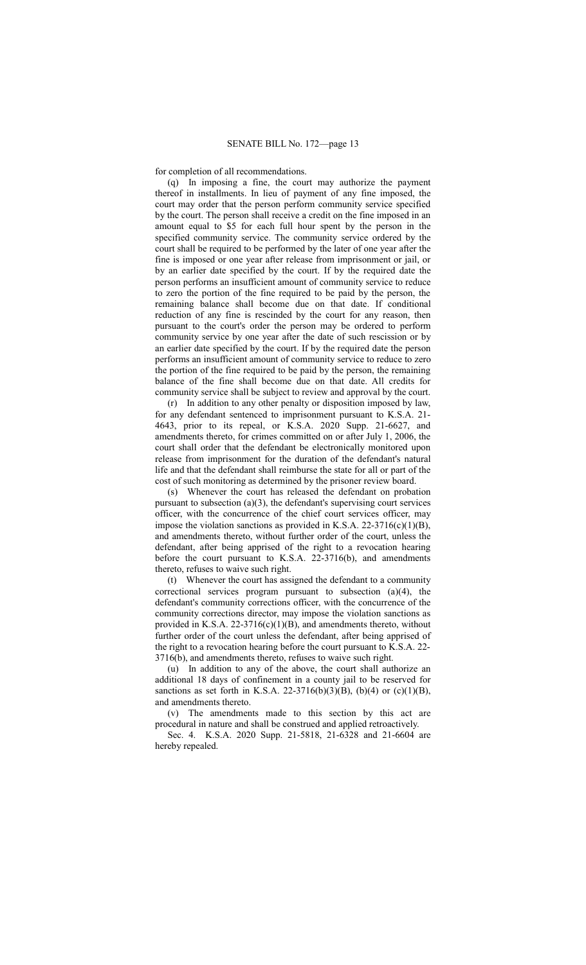for completion of all recommendations.

(q) In imposing a fine, the court may authorize the payment thereof in installments. In lieu of payment of any fine imposed, the court may order that the person perform community service specified by the court. The person shall receive a credit on the fine imposed in an amount equal to \$5 for each full hour spent by the person in the specified community service. The community service ordered by the court shall be required to be performed by the later of one year after the fine is imposed or one year after release from imprisonment or jail, or by an earlier date specified by the court. If by the required date the person performs an insufficient amount of community service to reduce to zero the portion of the fine required to be paid by the person, the remaining balance shall become due on that date. If conditional reduction of any fine is rescinded by the court for any reason, then pursuant to the court's order the person may be ordered to perform community service by one year after the date of such rescission or by an earlier date specified by the court. If by the required date the person performs an insufficient amount of community service to reduce to zero the portion of the fine required to be paid by the person, the remaining balance of the fine shall become due on that date. All credits for community service shall be subject to review and approval by the court.

(r) In addition to any other penalty or disposition imposed by law, for any defendant sentenced to imprisonment pursuant to K.S.A. 21- 4643, prior to its repeal, or K.S.A. 2020 Supp. 21-6627, and amendments thereto, for crimes committed on or after July 1, 2006, the court shall order that the defendant be electronically monitored upon release from imprisonment for the duration of the defendant's natural life and that the defendant shall reimburse the state for all or part of the cost of such monitoring as determined by the prisoner review board.

(s) Whenever the court has released the defendant on probation pursuant to subsection (a)(3), the defendant's supervising court services officer, with the concurrence of the chief court services officer, may impose the violation sanctions as provided in K.S.A. 22-3716(c)(1)(B), and amendments thereto, without further order of the court, unless the defendant, after being apprised of the right to a revocation hearing before the court pursuant to K.S.A. 22-3716(b), and amendments thereto, refuses to waive such right.

(t) Whenever the court has assigned the defendant to a community correctional services program pursuant to subsection (a)(4), the defendant's community corrections officer, with the concurrence of the community corrections director, may impose the violation sanctions as provided in K.S.A.  $22-3716(c)(1)(B)$ , and amendments thereto, without further order of the court unless the defendant, after being apprised of the right to a revocation hearing before the court pursuant to K.S.A. 22- 3716(b), and amendments thereto, refuses to waive such right.

(u) In addition to any of the above, the court shall authorize an additional 18 days of confinement in a county jail to be reserved for sanctions as set forth in K.S.A. 22-3716(b)(3)(B), (b)(4) or (c)(1)(B), and amendments thereto.

(v) The amendments made to this section by this act are procedural in nature and shall be construed and applied retroactively.

Sec. 4. K.S.A. 2020 Supp. 21-5818, 21-6328 and 21-6604 are hereby repealed.